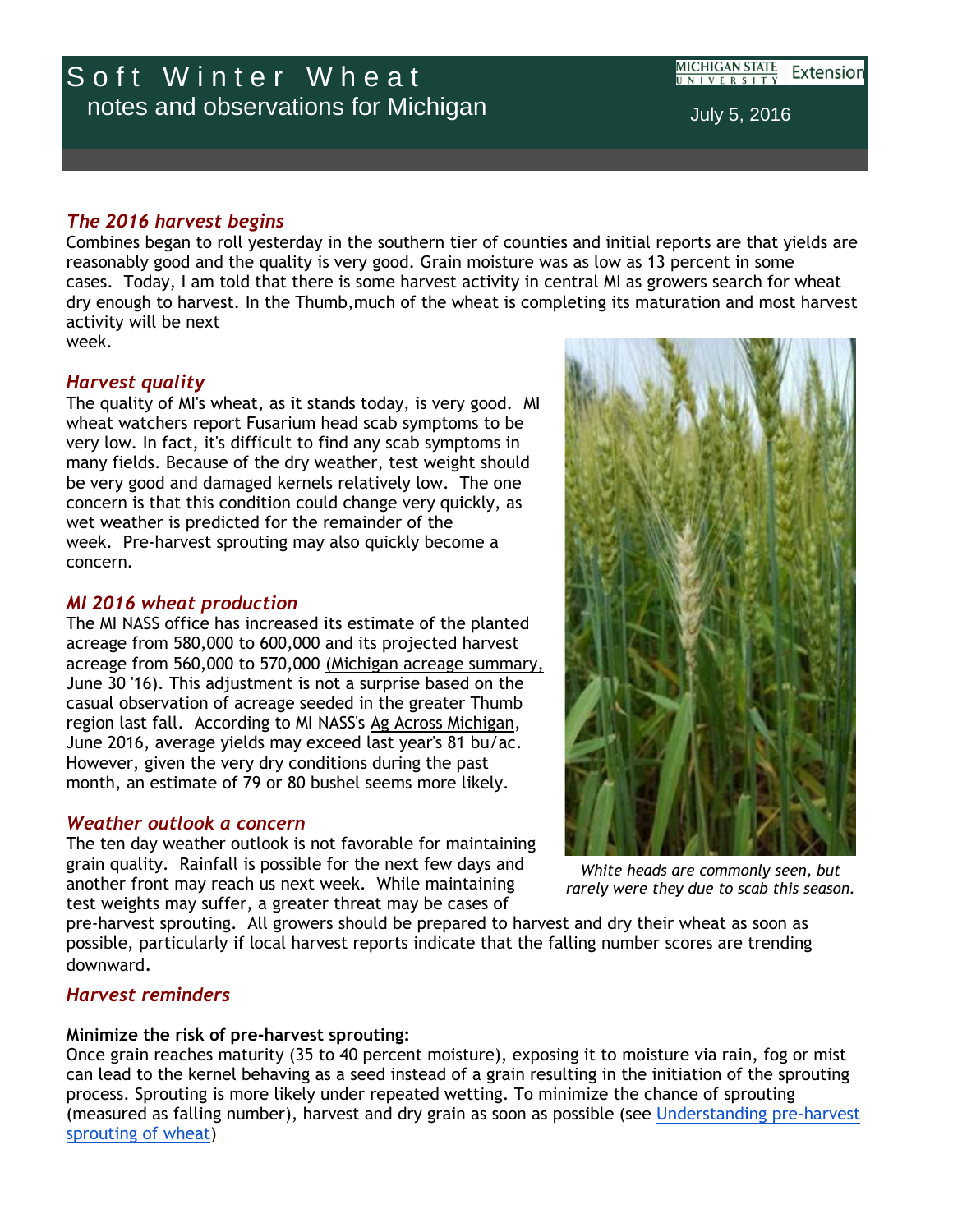# *The 2016 harvest begins*

Combines began to roll yesterday in the southern tier of counties and initial reports are that yields are reasonably good and the quality is very good. Grain moisture was as low as 13 percent in some cases. Today, I am told that there is some harvest activity in central MI as growers search for wheat dry enough to harvest. In the Thumb,much of the wheat is completing its maturation and most harvest activity will be next week.

# *Harvest quality*

The quality of MI's wheat, as it stands today, is very good. MI wheat watchers report Fusarium head scab symptoms to be very low. In fact, it's difficult to find any scab symptoms in many fields. Because of the dry weather, test weight should be very good and damaged kernels relatively low. The one concern is that this condition could change very quickly, as wet weather is predicted for the remainder of the week. Pre-harvest sprouting may also quickly become a concern.

# *MI 2016 wheat production*

The MI NASS office has increased its estimate of the planted acreage from 580,000 to 600,000 and its projected harvest acreage from 560,000 to 570,000 [\(Michigan acreage summary,](http://r20.rs6.net/tn.jsp?f=001N0Y1AlBoNJA3a-_jumkZcMT0t-i_ZgndqZvoEaOAQcmoSRab8NBFUNzEMOdOtMNpQb2kcjCBNh0gk0DcuAy0-dKIqTdPhy1NyD0S6s9m8Bk9iX_AmayIj7cD9xKlS9Pg7lco1Vt9gvifN4DwvmZL4Fjp3lt8QRysN6xBiHtYPPyHDXk7KDLftj4vI_XT9EV-gyU3j_7mToI8wabSe3gPJxSYCuKNTTZwIq25aK0Kk0aq4HDe5shbGT4acZ1jZRjeghX6J-Dc8s0poGIQUmosI72g_ors0qbMcT2Qq5tXx9I=&c=WtMy2rvh7fbOahVqvUdYot0m9VVRY6WbuZY_k2Sn1vuWl4OnxPerOg==&ch=ZXvGIqEHaUntSCqTLID9BibTpkRCv-bmRNyAjawWfYfoY-TVkcv3kA==)  [June 30 '16\).](http://r20.rs6.net/tn.jsp?f=001N0Y1AlBoNJA3a-_jumkZcMT0t-i_ZgndqZvoEaOAQcmoSRab8NBFUNzEMOdOtMNpQb2kcjCBNh0gk0DcuAy0-dKIqTdPhy1NyD0S6s9m8Bk9iX_AmayIj7cD9xKlS9Pg7lco1Vt9gvifN4DwvmZL4Fjp3lt8QRysN6xBiHtYPPyHDXk7KDLftj4vI_XT9EV-gyU3j_7mToI8wabSe3gPJxSYCuKNTTZwIq25aK0Kk0aq4HDe5shbGT4acZ1jZRjeghX6J-Dc8s0poGIQUmosI72g_ors0qbMcT2Qq5tXx9I=&c=WtMy2rvh7fbOahVqvUdYot0m9VVRY6WbuZY_k2Sn1vuWl4OnxPerOg==&ch=ZXvGIqEHaUntSCqTLID9BibTpkRCv-bmRNyAjawWfYfoY-TVkcv3kA==) This adjustment is not a surprise based on the casual observation of acreage seeded in the greater Thumb region last fall. According to MI NASS's [Ag Across Michigan,](http://r20.rs6.net/tn.jsp?f=001N0Y1AlBoNJA3a-_jumkZcMT0t-i_ZgndqZvoEaOAQcmoSRab8NBFUNzEMOdOtMNp0KHH4ECZVv4ENtllWynE4YvXGsc1wzKVPGZOrraNNEb4C-KxgN-eYqj0EVr6FRhIw69cOktBrtdfu2WNdLw3at2EYwSyL9lu1LH4LklBM_VMT3kCh_dof7VUG7qamm-opJq23wO-pbKaiyw1-KNp2pM0HjxMVu6E3h9TrqDF7gKztQAn-PdgNj6MZ21bqmhTaHD8mGKdieDan_-puxg9ENfP70948RdyDiimx50LD9pkKgNE-swtBHBJlgYykys_fohRx7DVVfWF1A-H8dmDX5PD_1cSic-7BQgrNKnFMAvK65FKYUlNbC5T41EBrxNgs6mBLGrhXeLHYBdnu6ZwryUvE_ZSvjl1Myp3bHtOGhmk8kvAPiGGbyl2g6Ez8fbIcM-SFfIVkk9_r1HOIQ7IwzCaj_SRFZT1qqbw-6sdvRQbVdLDAzzS20c5aHUMRGSfCCD24BBhqhdXaJOjOCtX5twKWpTVpKYfabfV9RCzq-VExSjeRRPrBC1w0AHQ7VQtkJeH5yvAfWI=&c=WtMy2rvh7fbOahVqvUdYot0m9VVRY6WbuZY_k2Sn1vuWl4OnxPerOg==&ch=ZXvGIqEHaUntSCqTLID9BibTpkRCv-bmRNyAjawWfYfoY-TVkcv3kA==) June 2016, average yields may exceed last year's 81 bu/ac. However, given the very dry conditions during the past month, an estimate of 79 or 80 bushel seems more likely.

## *Weather outlook a concern*

The ten day weather outlook is not favorable for maintaining grain quality. Rainfall is possible for the next few days and another front may reach us next week. While maintaining test weights may suffer, a greater threat may be cases of

pre-harvest sprouting. All growers should be prepared to harvest and dry their wheat as soon as possible, particularly if local harvest reports indicate that the falling number scores are trending downward.

## *Harvest reminders*

### **Minimize the risk of pre-harvest sprouting:**

Once grain reaches maturity (35 to 40 percent moisture), exposing it to moisture via rain, fog or mist can lead to the kernel behaving as a seed instead of a grain resulting in the initiation of the sprouting process. Sprouting is more likely under repeated wetting. To minimize the chance of sprouting (measured as falling number), harvest and dry grain as soon as possible (see [Understanding pre-harvest](http://r20.rs6.net/tn.jsp?f=001N0Y1AlBoNJA3a-_jumkZcMT0t-i_ZgndqZvoEaOAQcmoSRab8NBFUNzEMOdOtMNpi04-GULt96fYfEHVqyiWU7BRfEdskY5mNfhFrZ9Kg74f4UJ-RK3PKQtZbdeqjIj654mc2cT429vrQXsLXLdQ9qScVKJy3HUdwdSreNmpJVPjVB6npSgAUTuZX5t4JvoxG6MtqdGizqcxt4gTZwZgeQ==&c=WtMy2rvh7fbOahVqvUdYot0m9VVRY6WbuZY_k2Sn1vuWl4OnxPerOg==&ch=ZXvGIqEHaUntSCqTLID9BibTpkRCv-bmRNyAjawWfYfoY-TVkcv3kA==)  [sprouting of wheat\)](http://r20.rs6.net/tn.jsp?f=001N0Y1AlBoNJA3a-_jumkZcMT0t-i_ZgndqZvoEaOAQcmoSRab8NBFUNzEMOdOtMNpi04-GULt96fYfEHVqyiWU7BRfEdskY5mNfhFrZ9Kg74f4UJ-RK3PKQtZbdeqjIj654mc2cT429vrQXsLXLdQ9qScVKJy3HUdwdSreNmpJVPjVB6npSgAUTuZX5t4JvoxG6MtqdGizqcxt4gTZwZgeQ==&c=WtMy2rvh7fbOahVqvUdYot0m9VVRY6WbuZY_k2Sn1vuWl4OnxPerOg==&ch=ZXvGIqEHaUntSCqTLID9BibTpkRCv-bmRNyAjawWfYfoY-TVkcv3kA==)

*White heads are commonly seen, but rarely were they due to scab this season.*